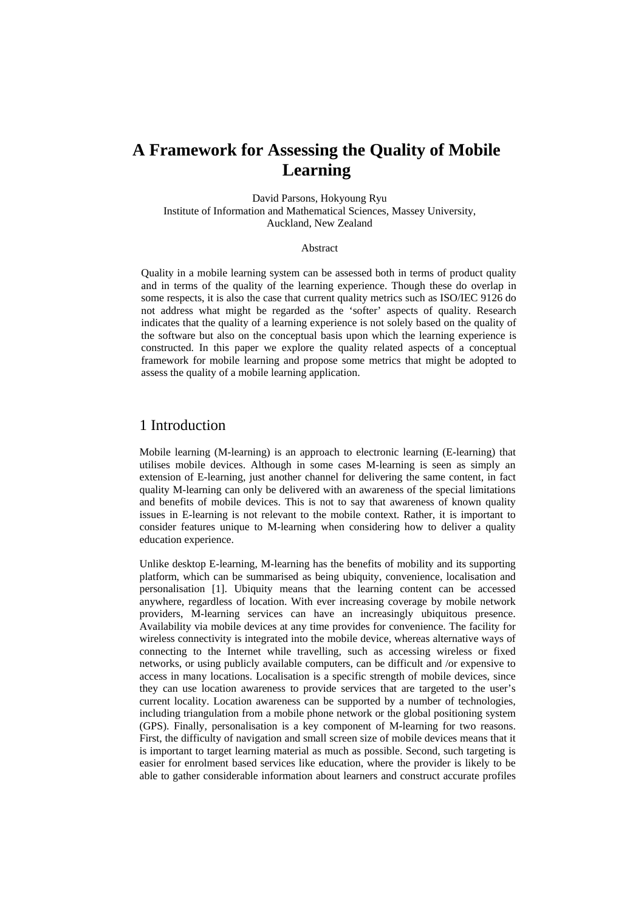# **A Framework for Assessing the Quality of Mobile Learning**

David Parsons, Hokyoung Ryu Institute of Information and Mathematical Sciences, Massey University, Auckland, New Zealand

#### Abstract

Quality in a mobile learning system can be assessed both in terms of product quality and in terms of the quality of the learning experience. Though these do overlap in some respects, it is also the case that current quality metrics such as ISO/IEC 9126 do not address what might be regarded as the 'softer' aspects of quality. Research indicates that the quality of a learning experience is not solely based on the quality of the software but also on the conceptual basis upon which the learning experience is constructed. In this paper we explore the quality related aspects of a conceptual framework for mobile learning and propose some metrics that might be adopted to assess the quality of a mobile learning application.

#### 1 Introduction

Mobile learning (M-learning) is an approach to electronic learning (E-learning) that utilises mobile devices. Although in some cases M-learning is seen as simply an extension of E-learning, just another channel for delivering the same content, in fact quality M-learning can only be delivered with an awareness of the special limitations and benefits of mobile devices. This is not to say that awareness of known quality issues in E-learning is not relevant to the mobile context. Rather, it is important to consider features unique to M-learning when considering how to deliver a quality education experience.

Unlike desktop E-learning, M-learning has the benefits of mobility and its supporting platform, which can be summarised as being ubiquity, convenience, localisation and personalisation [1]. Ubiquity means that the learning content can be accessed anywhere, regardless of location. With ever increasing coverage by mobile network providers, M-learning services can have an increasingly ubiquitous presence. Availability via mobile devices at any time provides for convenience. The facility for wireless connectivity is integrated into the mobile device, whereas alternative ways of connecting to the Internet while travelling, such as accessing wireless or fixed networks, or using publicly available computers, can be difficult and /or expensive to access in many locations. Localisation is a specific strength of mobile devices, since they can use location awareness to provide services that are targeted to the user's current locality. Location awareness can be supported by a number of technologies, including triangulation from a mobile phone network or the global positioning system (GPS). Finally, personalisation is a key component of M-learning for two reasons. First, the difficulty of navigation and small screen size of mobile devices means that it is important to target learning material as much as possible. Second, such targeting is easier for enrolment based services like education, where the provider is likely to be able to gather considerable information about learners and construct accurate profiles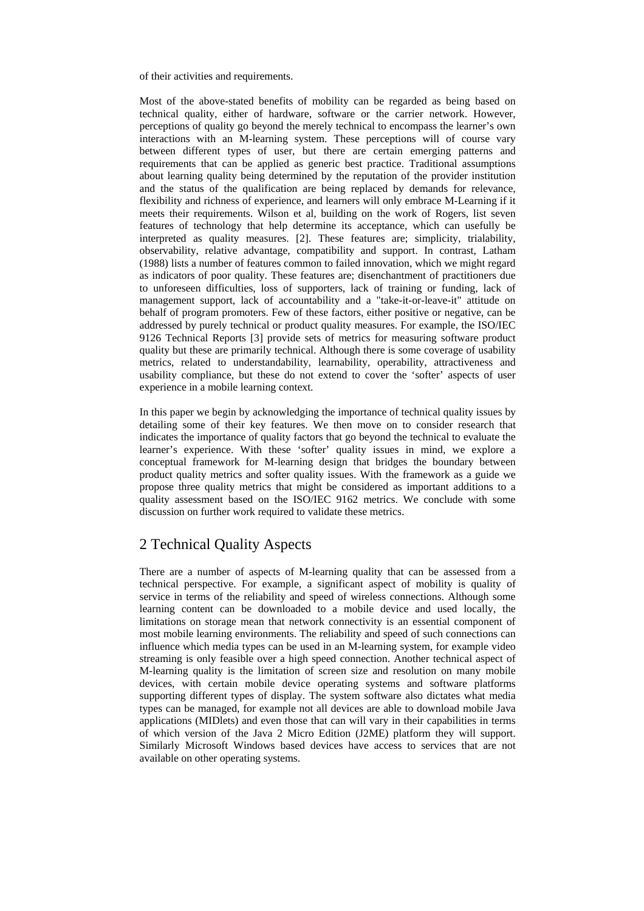of their activities and requirements.

Most of the above-stated benefits of mobility can be regarded as being based on technical quality, either of hardware, software or the carrier network. However, perceptions of quality go beyond the merely technical to encompass the learner's own interactions with an M-learning system. These perceptions will of course vary between different types of user, but there are certain emerging patterns and requirements that can be applied as generic best practice. Traditional assumptions about learning quality being determined by the reputation of the provider institution and the status of the qualification are being replaced by demands for relevance, flexibility and richness of experience, and learners will only embrace M-Learning if it meets their requirements. Wilson et al, building on the work of Rogers, list seven features of technology that help determine its acceptance, which can usefully be interpreted as quality measures. [2]. These features are; simplicity, trialability, observability, relative advantage, compatibility and support. In contrast, Latham (1988) lists a number of features common to failed innovation, which we might regard as indicators of poor quality. These features are; disenchantment of practitioners due to unforeseen difficulties, loss of supporters, lack of training or funding, lack of management support, lack of accountability and a "take-it-or-leave-it" attitude on behalf of program promoters. Few of these factors, either positive or negative, can be addressed by purely technical or product quality measures. For example, the ISO/IEC 9126 Technical Reports [3] provide sets of metrics for measuring software product quality but these are primarily technical. Although there is some coverage of usability metrics, related to understandability, learnability, operability, attractiveness and usability compliance, but these do not extend to cover the 'softer' aspects of user experience in a mobile learning context.

In this paper we begin by acknowledging the importance of technical quality issues by detailing some of their key features. We then move on to consider research that indicates the importance of quality factors that go beyond the technical to evaluate the learner's experience. With these 'softer' quality issues in mind, we explore a conceptual framework for M-learning design that bridges the boundary between product quality metrics and softer quality issues. With the framework as a guide we propose three quality metrics that might be considered as important additions to a quality assessment based on the ISO/IEC 9162 metrics. We conclude with some discussion on further work required to validate these metrics.

### 2 Technical Quality Aspects

There are a number of aspects of M-learning quality that can be assessed from a technical perspective. For example, a significant aspect of mobility is quality of service in terms of the reliability and speed of wireless connections. Although some learning content can be downloaded to a mobile device and used locally, the limitations on storage mean that network connectivity is an essential component of most mobile learning environments. The reliability and speed of such connections can influence which media types can be used in an M-learning system, for example video streaming is only feasible over a high speed connection. Another technical aspect of M-learning quality is the limitation of screen size and resolution on many mobile devices, with certain mobile device operating systems and software platforms supporting different types of display. The system software also dictates what media types can be managed, for example not all devices are able to download mobile Java applications (MIDlets) and even those that can will vary in their capabilities in terms of which version of the Java 2 Micro Edition (J2ME) platform they will support. Similarly Microsoft Windows based devices have access to services that are not available on other operating systems.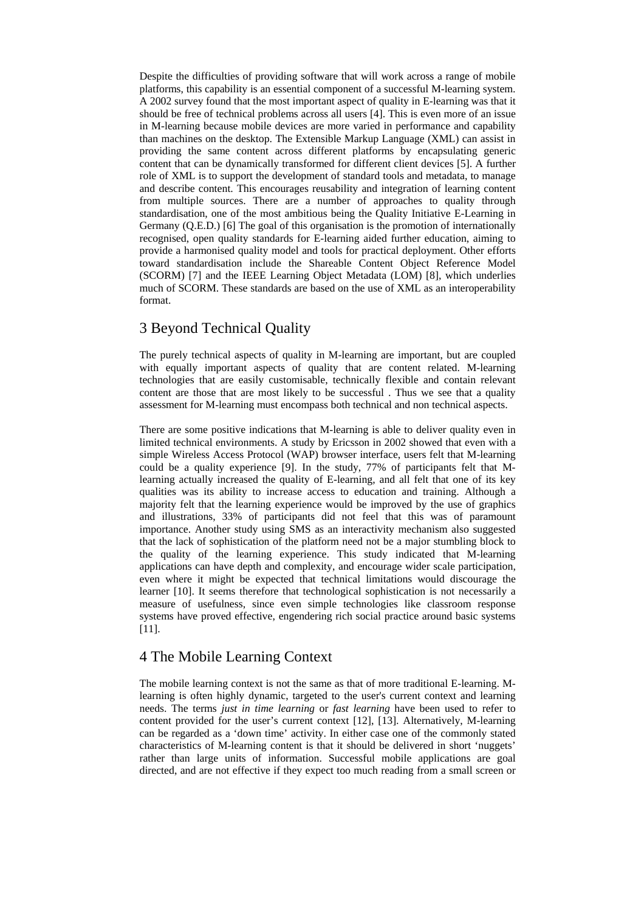Despite the difficulties of providing software that will work across a range of mobile platforms, this capability is an essential component of a successful M-learning system. A 2002 survey found that the most important aspect of quality in E-learning was that it should be free of technical problems across all users [4]. This is even more of an issue in M-learning because mobile devices are more varied in performance and capability than machines on the desktop. The Extensible Markup Language (XML) can assist in providing the same content across different platforms by encapsulating generic content that can be dynamically transformed for different client devices [5]. A further role of XML is to support the development of standard tools and metadata, to manage and describe content. This encourages reusability and integration of learning content from multiple sources. There are a number of approaches to quality through standardisation, one of the most ambitious being the Quality Initiative E-Learning in Germany (Q.E.D.) [6] The goal of this organisation is the promotion of internationally recognised, open quality standards for E-learning aided further education, aiming to provide a harmonised quality model and tools for practical deployment. Other efforts toward standardisation include the Shareable Content Object Reference Model (SCORM) [7] and the IEEE Learning Object Metadata (LOM) [8], which underlies much of SCORM. These standards are based on the use of XML as an interoperability format.

## 3 Beyond Technical Quality

The purely technical aspects of quality in M-learning are important, but are coupled with equally important aspects of quality that are content related. M-learning technologies that are easily customisable, technically flexible and contain relevant content are those that are most likely to be successful . Thus we see that a quality assessment for M-learning must encompass both technical and non technical aspects.

There are some positive indications that M-learning is able to deliver quality even in limited technical environments. A study by Ericsson in 2002 showed that even with a simple Wireless Access Protocol (WAP) browser interface, users felt that M-learning could be a quality experience [9]. In the study, 77% of participants felt that Mlearning actually increased the quality of E-learning, and all felt that one of its key qualities was its ability to increase access to education and training. Although a majority felt that the learning experience would be improved by the use of graphics and illustrations, 33% of participants did not feel that this was of paramount importance. Another study using SMS as an interactivity mechanism also suggested that the lack of sophistication of the platform need not be a major stumbling block to the quality of the learning experience. This study indicated that M-learning applications can have depth and complexity, and encourage wider scale participation, even where it might be expected that technical limitations would discourage the learner [10]. It seems therefore that technological sophistication is not necessarily a measure of usefulness, since even simple technologies like classroom response systems have proved effective, engendering rich social practice around basic systems [11].

### 4 The Mobile Learning Context

The mobile learning context is not the same as that of more traditional E-learning. Mlearning is often highly dynamic, targeted to the user's current context and learning needs. The terms *just in time learning* or *fast learning* have been used to refer to content provided for the user's current context [12], [13]. Alternatively, M-learning can be regarded as a 'down time' activity. In either case one of the commonly stated characteristics of M-learning content is that it should be delivered in short 'nuggets' rather than large units of information. Successful mobile applications are goal directed, and are not effective if they expect too much reading from a small screen or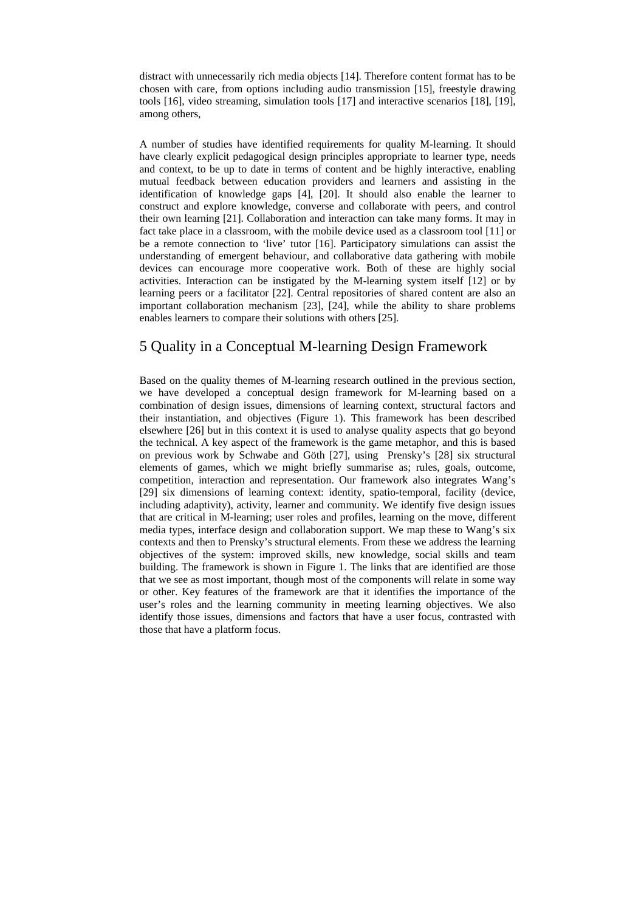distract with unnecessarily rich media objects [14]. Therefore content format has to be chosen with care, from options including audio transmission [15], freestyle drawing tools [16], video streaming, simulation tools [17] and interactive scenarios [18], [19], among others,

A number of studies have identified requirements for quality M-learning. It should have clearly explicit pedagogical design principles appropriate to learner type, needs and context, to be up to date in terms of content and be highly interactive, enabling mutual feedback between education providers and learners and assisting in the identification of knowledge gaps [4], [20]. It should also enable the learner to construct and explore knowledge, converse and collaborate with peers, and control their own learning [21]. Collaboration and interaction can take many forms. It may in fact take place in a classroom, with the mobile device used as a classroom tool [11] or be a remote connection to 'live' tutor [16]. Participatory simulations can assist the understanding of emergent behaviour, and collaborative data gathering with mobile devices can encourage more cooperative work. Both of these are highly social activities. Interaction can be instigated by the M-learning system itself [12] or by learning peers or a facilitator [22]. Central repositories of shared content are also an important collaboration mechanism [23], [24], while the ability to share problems enables learners to compare their solutions with others [25].

### 5 Quality in a Conceptual M-learning Design Framework

Based on the quality themes of M-learning research outlined in the previous section, we have developed a conceptual design framework for M-learning based on a combination of design issues, dimensions of learning context, structural factors and their instantiation, and objectives (Figure 1). This framework has been described elsewhere [26] but in this context it is used to analyse quality aspects that go beyond the technical. A key aspect of the framework is the game metaphor, and this is based on previous work by Schwabe and Göth [27], using Prensky's [28] six structural elements of games, which we might briefly summarise as; rules, goals, outcome, competition, interaction and representation. Our framework also integrates Wang's [29] six dimensions of learning context: identity, spatio-temporal, facility (device, including adaptivity), activity, learner and community. We identify five design issues that are critical in M-learning; user roles and profiles, learning on the move, different media types, interface design and collaboration support. We map these to Wang's six contexts and then to Prensky's structural elements. From these we address the learning objectives of the system: improved skills, new knowledge, social skills and team building. The framework is shown in Figure 1. The links that are identified are those that we see as most important, though most of the components will relate in some way or other. Key features of the framework are that it identifies the importance of the user's roles and the learning community in meeting learning objectives. We also identify those issues, dimensions and factors that have a user focus, contrasted with those that have a platform focus.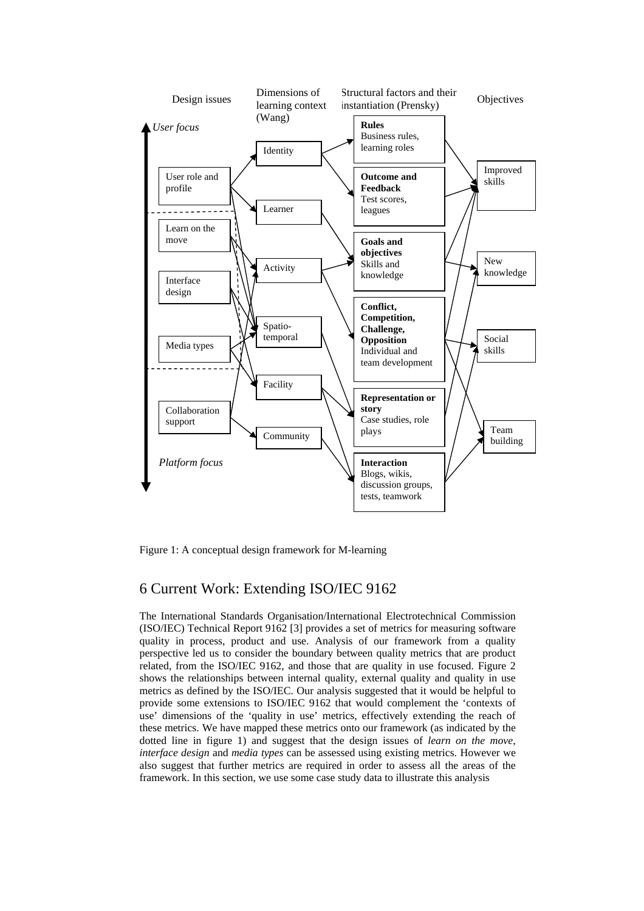

Figure 1: A conceptual design framework for M-learning

## 6 Current Work: Extending ISO/IEC 9162

The International Standards Organisation/International Electrotechnical Commission (ISO/IEC) Technical Report 9162 [3] provides a set of metrics for measuring software quality in process, product and use. Analysis of our framework from a quality perspective led us to consider the boundary between quality metrics that are product related, from the ISO/IEC 9162, and those that are quality in use focused. Figure 2 shows the relationships between internal quality, external quality and quality in use metrics as defined by the ISO/IEC. Our analysis suggested that it would be helpful to provide some extensions to ISO/IEC 9162 that would complement the 'contexts of use' dimensions of the 'quality in use' metrics, effectively extending the reach of these metrics. We have mapped these metrics onto our framework (as indicated by the dotted line in figure 1) and suggest that the design issues of *learn on the move*, *interface design* and *media types* can be assessed using existing metrics. However we also suggest that further metrics are required in order to assess all the areas of the framework. In this section, we use some case study data to illustrate this analysis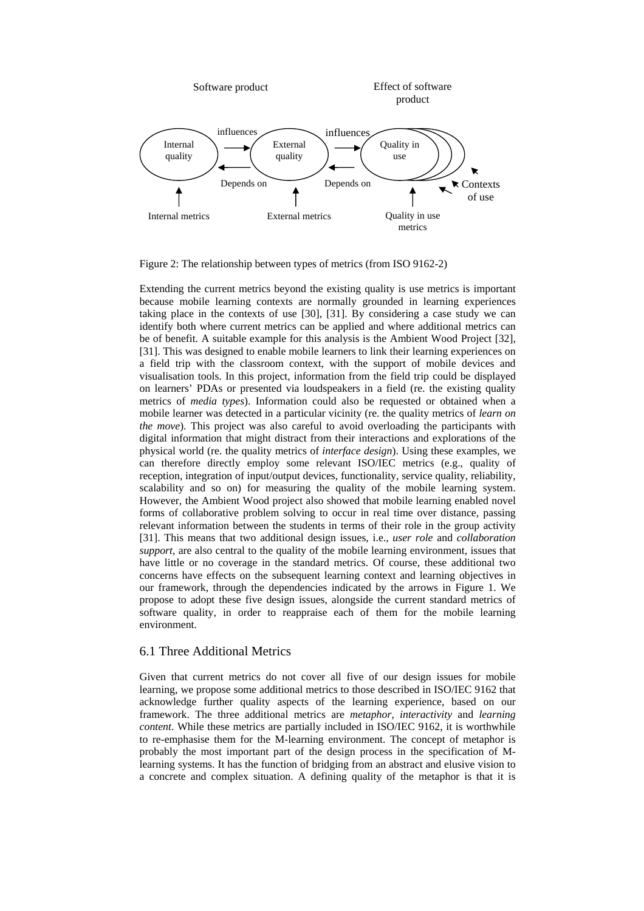

Figure 2: The relationship between types of metrics (from ISO 9162-2)

Extending the current metrics beyond the existing quality is use metrics is important because mobile learning contexts are normally grounded in learning experiences taking place in the contexts of use [30], [31]. By considering a case study we can identify both where current metrics can be applied and where additional metrics can be of benefit. A suitable example for this analysis is the Ambient Wood Project [32], [31]. This was designed to enable mobile learners to link their learning experiences on a field trip with the classroom context, with the support of mobile devices and visualisation tools. In this project, information from the field trip could be displayed on learners' PDAs or presented via loudspeakers in a field (re. the existing quality metrics of *media types*). Information could also be requested or obtained when a mobile learner was detected in a particular vicinity (re. the quality metrics of *learn on the move*). This project was also careful to avoid overloading the participants with digital information that might distract from their interactions and explorations of the physical world (re. the quality metrics of *interface design*). Using these examples, we can therefore directly employ some relevant ISO/IEC metrics (e.g., quality of reception, integration of input/output devices, functionality, service quality, reliability, scalability and so on) for measuring the quality of the mobile learning system. However, the Ambient Wood project also showed that mobile learning enabled novel forms of collaborative problem solving to occur in real time over distance, passing relevant information between the students in terms of their role in the group activity [31]. This means that two additional design issues, i.e., *user role* and *collaboration support*, are also central to the quality of the mobile learning environment, issues that have little or no coverage in the standard metrics. Of course, these additional two concerns have effects on the subsequent learning context and learning objectives in our framework, through the dependencies indicated by the arrows in Figure 1. We propose to adopt these five design issues, alongside the current standard metrics of software quality, in order to reappraise each of them for the mobile learning environment.

#### 6.1 Three Additional Metrics

Given that current metrics do not cover all five of our design issues for mobile learning, we propose some additional metrics to those described in ISO/IEC 9162 that acknowledge further quality aspects of the learning experience, based on our framework. The three additional metrics are *metaphor*, *interactivity* and *learning content*. While these metrics are partially included in ISO/IEC 9162, it is worthwhile to re-emphasise them for the M-learning environment. The concept of metaphor is probably the most important part of the design process in the specification of Mlearning systems. It has the function of bridging from an abstract and elusive vision to a concrete and complex situation. A defining quality of the metaphor is that it is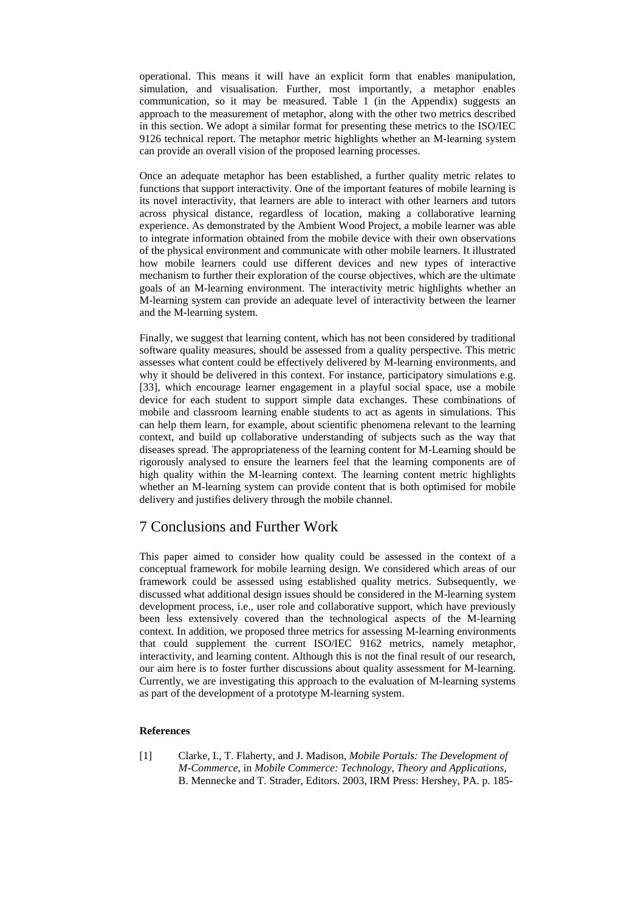operational. This means it will have an explicit form that enables manipulation, simulation, and visualisation. Further, most importantly, a metaphor enables communication, so it may be measured. Table  $1$  (in the Appendix) suggests an approach to the measurement of metaphor, along with the other two metrics described in this section. We adopt a similar format for presenting these metrics to the ISO/IEC 9126 technical report. The metaphor metric highlights whether an M-learning system can provide an overall vision of the proposed learning processes.

Once an adequate metaphor has been established, a further quality metric relates to functions that support interactivity. One of the important features of mobile learning is its novel interactivity, that learners are able to interact with other learners and tutors across physical distance, regardless of location, making a collaborative learning experience. As demonstrated by the Ambient Wood Project, a mobile learner was able to integrate information obtained from the mobile device with their own observations of the physical environment and communicate with other mobile learners. It illustrated how mobile learners could use different devices and new types of interactive mechanism to further their exploration of the course objectives, which are the ultimate goals of an M-learning environment. The interactivity metric highlights whether an M-learning system can provide an adequate level of interactivity between the learner and the M-learning system.

Finally, we suggest that learning content, which has not been considered by traditional software quality measures, should be assessed from a quality perspective. This metric assesses what content could be effectively delivered by M-learning environments, and why it should be delivered in this context. For instance, participatory simulations e.g. [33], which encourage learner engagement in a playful social space, use a mobile device for each student to support simple data exchanges. These combinations of mobile and classroom learning enable students to act as agents in simulations. This can help them learn, for example, about scientific phenomena relevant to the learning context, and build up collaborative understanding of subjects such as the way that diseases spread. The appropriateness of the learning content for M-Learning should be rigorously analysed to ensure the learners feel that the learning components are of high quality within the M-learning context. The learning content metric highlights whether an M-learning system can provide content that is both optimised for mobile delivery and justifies delivery through the mobile channel.

### 7 Conclusions and Further Work

This paper aimed to consider how quality could be assessed in the context of a conceptual framework for mobile learning design. We considered which areas of our framework could be assessed using established quality metrics. Subsequently, we discussed what additional design issues should be considered in the M-learning system development process, i.e., user role and collaborative support, which have previously been less extensively covered than the technological aspects of the M-learning context. In addition, we proposed three metrics for assessing M-learning environments that could supplement the current ISO/IEC 9162 metrics, namely metaphor, interactivity, and learning content. Although this is not the final result of our research, our aim here is to foster further discussions about quality assessment for M-learning. Currently, we are investigating this approach to the evaluation of M-learning systems as part of the development of a prototype M-learning system.

#### **References**

[1] Clarke, I., T. Flaherty, and J. Madison, *Mobile Portals: The Development of M-Commerce*, in *Mobile Commerce: Technology, Theory and Applications*, B. Mennecke and T. Strader, Editors. 2003, IRM Press: Hershey, PA. p. 185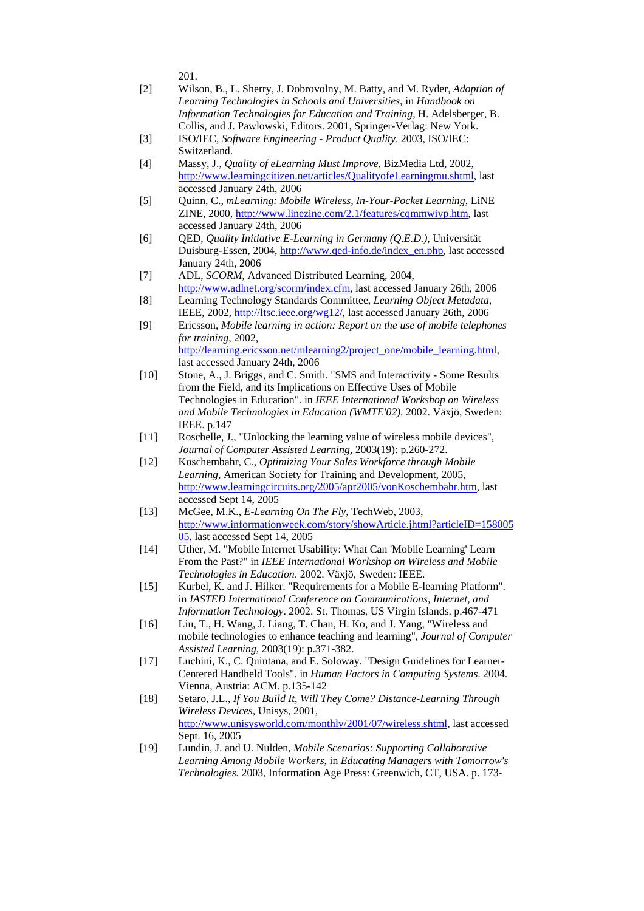201.

- [2] Wilson, B., L. Sherry, J. Dobrovolny, M. Batty, and M. Ryder, *Adoption of Learning Technologies in Schools and Universities*, in *Handbook on Information Technologies for Education and Training*, H. Adelsberger, B. Collis, and J. Pawlowski, Editors. 2001, Springer-Verlag: New York.
- [3] ISO/IEC, *Software Engineering Product Quality*. 2003, ISO/IEC: Switzerland.
- [4] Massy, J., *Quality of eLearning Must Improve*, BizMedia Ltd, 2002, http://www.learningcitizen.net/articles/QualityofeLearningmu.shtml, last accessed January 24th, 2006
- [5] Quinn, C., *mLearning: Mobile Wireless, In-Your-Pocket Learning*, LiNE ZINE, 2000, http://www.linezine.com/2.1/features/cqmmwiyp.htm, last accessed January 24th, 2006
- [6] QED, *Quality Initiative E-Learning in Germany (Q.E.D.)*, Universität Duisburg-Essen, 2004, http://www.qed-info.de/index\_en.php, last accessed January 24th, 2006
- [7] ADL, *SCORM*, Advanced Distributed Learning, 2004, http://www.adlnet.org/scorm/index.cfm, last accessed January 26th, 2006
- [8] Learning Technology Standards Committee, *Learning Object Metadata*, IEEE, 2002, http://ltsc.ieee.org/wg12/, last accessed January 26th, 2006
- [9] Ericsson, *Mobile learning in action: Report on the use of mobile telephones for training*, 2002, http://learning.ericsson.net/mlearning2/project\_one/mobile\_learning.html, last accessed January 24th, 2006
- [10] Stone, A., J. Briggs, and C. Smith. "SMS and Interactivity Some Results from the Field, and its Implications on Effective Uses of Mobile Technologies in Education". in *IEEE International Workshop on Wireless and Mobile Technologies in Education (WMTE'02)*. 2002. Växjö, Sweden: IEEE. p.147
- [11] Roschelle, J., "Unlocking the learning value of wireless mobile devices"*, Journal of Computer Assisted Learning*, 2003(19): p.260-272.
- [12] Koschembahr, C., *Optimizing Your Sales Workforce through Mobile Learning*, American Society for Training and Development, 2005, http://www.learningcircuits.org/2005/apr2005/vonKoschembahr.htm, last accessed Sept 14, 2005
- [13] McGee, M.K., *E-Learning On The Fly*, TechWeb, 2003, http://www.informationweek.com/story/showArticle.jhtml?articleID=158005 05, last accessed Sept 14, 2005
- [14] Uther, M. "Mobile Internet Usability: What Can 'Mobile Learning' Learn From the Past?" in *IEEE International Workshop on Wireless and Mobile Technologies in Education*. 2002. Växjö, Sweden: IEEE.
- [15] Kurbel, K. and J. Hilker. "Requirements for a Mobile E-learning Platform". in *IASTED International Conference on Communications, Internet, and Information Technology*. 2002. St. Thomas, US Virgin Islands. p.467-471
- [16] Liu, T., H. Wang, J. Liang, T. Chan, H. Ko, and J. Yang, "Wireless and mobile technologies to enhance teaching and learning"*, Journal of Computer Assisted Learning*, 2003(19): p.371-382.
- [17] Luchini, K., C. Quintana, and E. Soloway. "Design Guidelines for Learner-Centered Handheld Tools". in *Human Factors in Computing Systems*. 2004. Vienna, Austria: ACM. p.135-142
- [18] Setaro, J.L., *If You Build It, Will They Come? Distance-Learning Through Wireless Devices*, Unisys, 2001, http://www.unisysworld.com/monthly/2001/07/wireless.shtml, last accessed Sept. 16, 2005
- [19] Lundin, J. and U. Nulden, *Mobile Scenarios: Supporting Collaborative Learning Among Mobile Workers*, in *Educating Managers with Tomorrow's Technologies.* 2003, Information Age Press: Greenwich, CT, USA. p. 173-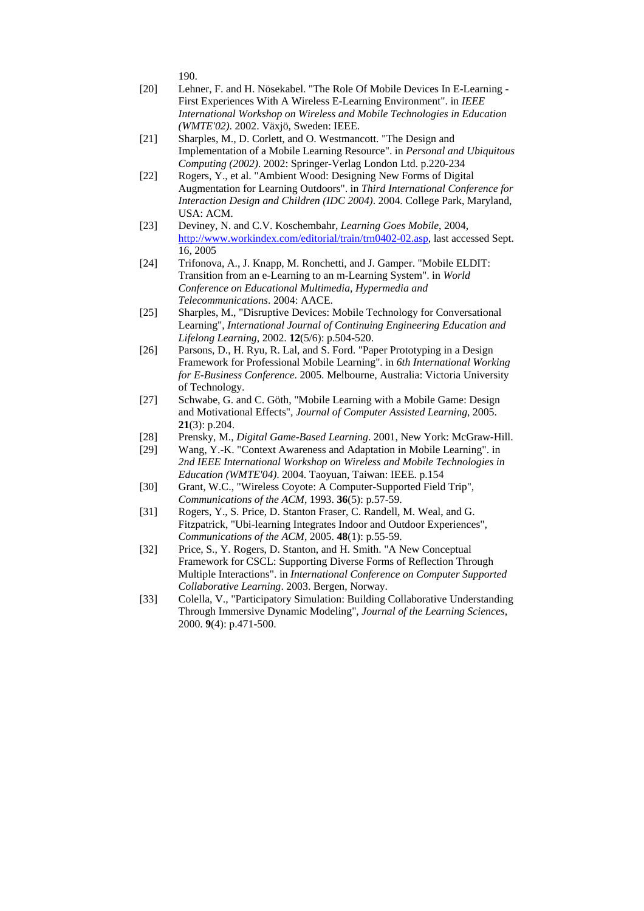190.

- [20] Lehner, F. and H. Nösekabel. "The Role Of Mobile Devices In E-Learning -First Experiences With A Wireless E-Learning Environment". in *IEEE International Workshop on Wireless and Mobile Technologies in Education (WMTE'02)*. 2002. Växjö, Sweden: IEEE.
- [21] Sharples, M., D. Corlett, and O. Westmancott. "The Design and Implementation of a Mobile Learning Resource". in *Personal and Ubiquitous Computing (2002)*. 2002: Springer-Verlag London Ltd. p.220-234
- [22] Rogers, Y., et al. "Ambient Wood: Designing New Forms of Digital Augmentation for Learning Outdoors". in *Third International Conference for Interaction Design and Children (IDC 2004)*. 2004. College Park, Maryland, USA: ACM.
- [23] Deviney, N. and C.V. Koschembahr, *Learning Goes Mobile*, 2004, http://www.workindex.com/editorial/train/trn0402-02.asp, last accessed Sept. 16, 2005
- [24] Trifonova, A., J. Knapp, M. Ronchetti, and J. Gamper. "Mobile ELDIT: Transition from an e-Learning to an m-Learning System". in *World Conference on Educational Multimedia, Hypermedia and Telecommunications*. 2004: AACE.
- [25] Sharples, M., "Disruptive Devices: Mobile Technology for Conversational Learning"*, International Journal of Continuing Engineering Education and Lifelong Learning*, 2002. **12**(5/6): p.504-520.
- [26] Parsons, D., H. Ryu, R. Lal, and S. Ford. "Paper Prototyping in a Design Framework for Professional Mobile Learning". in *6th International Working for E-Business Conference*. 2005. Melbourne, Australia: Victoria University of Technology.
- [27] Schwabe, G. and C. Göth, "Mobile Learning with a Mobile Game: Design and Motivational Effects"*, Journal of Computer Assisted Learning*, 2005. **21**(3): p.204.
- [28] Prensky, M., *Digital Game-Based Learning*. 2001, New York: McGraw-Hill.
- [29] Wang, Y.-K. "Context Awareness and Adaptation in Mobile Learning". in *2nd IEEE International Workshop on Wireless and Mobile Technologies in Education (WMTE'04)*. 2004. Taoyuan, Taiwan: IEEE. p.154
- [30] Grant, W.C., "Wireless Coyote: A Computer-Supported Field Trip"*, Communications of the ACM*, 1993. **36**(5): p.57-59.
- [31] Rogers, Y., S. Price, D. Stanton Fraser, C. Randell, M. Weal, and G. Fitzpatrick, "Ubi-learning Integrates Indoor and Outdoor Experiences"*, Communications of the ACM*, 2005. **48**(1): p.55-59.
- [32] Price, S., Y. Rogers, D. Stanton, and H. Smith. "A New Conceptual Framework for CSCL: Supporting Diverse Forms of Reflection Through Multiple Interactions". in *International Conference on Computer Supported Collaborative Learning*. 2003. Bergen, Norway.
- [33] Colella, V., "Participatory Simulation: Building Collaborative Understanding Through Immersive Dynamic Modeling"*, Journal of the Learning Sciences*, 2000. **9**(4): p.471-500.